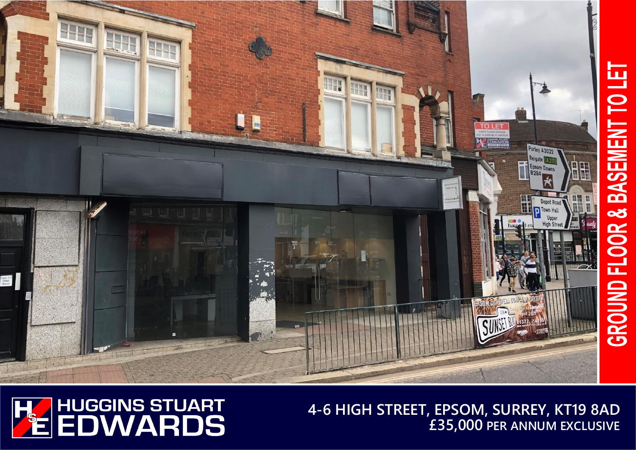



**4-6 HIGH STREET, EPSOM, SURREY, KT19 8AD £35,000 PER ANNUM EXCLUSIVE**